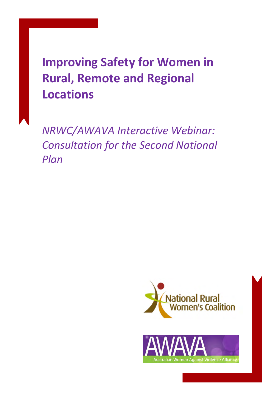# **Improving Safety for Women in Rural, Remote and Regional Locations**

*NRWC/AWAVA Interactive Webinar: Consultation for the Second National Plan*

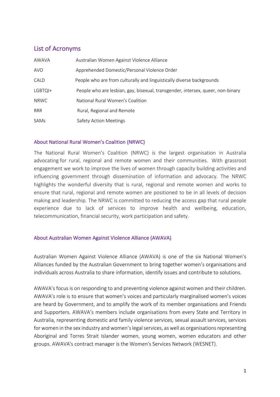# List of Acronyms

| AWAVA       | Australian Women Against Violence Alliance                                      |
|-------------|---------------------------------------------------------------------------------|
| <b>AVO</b>  | Apprehended Domestic/Personal Violence Order                                    |
| CALD        | People who are from culturally and linguistically diverse backgrounds           |
| LGBTQI+     | People who are lesbian, gay, bisexual, transgender, intersex, queer, non-binary |
| <b>NRWC</b> | National Rural Women's Coalition                                                |
| <b>RRR</b>  | Rural, Regional and Remote                                                      |
| SAMs        | <b>Safety Action Meetings</b>                                                   |

### About National Rural Women's Coalition (NRWC)

The National Rural Women's Coalition (NRWC) is the largest organisation in Australia advocating for rural, regional and remote women and their communities. With grassroot engagement we work to improve the lives of women through capacity building activities and influencing government through dissemination of information and advocacy. The NRWC highlights the wonderful diversity that is rural, regional and remote women and works to ensure that rural, regional and remote women are positioned to be in all levels of decision making and leadership. The NRWC is committed to reducing the access gap that rural people experience due to lack of services to improve health and wellbeing, education, telecommunication, financial security, work participation and safety.

### About Australian Women Against Violence Alliance (AWAVA)

Australian Women Against Violence Alliance (AWAVA) is one of the six National Women's Alliances funded by the Australian Government to bring together women's organisations and individuals across Australia to share information, identify issues and contribute to solutions.

AWAVA's focus is on responding to and preventing violence against women and their children. AWAVA's role is to ensure that women's voices and particularly marginalised women's voices are heard by Government, and to amplify the work of its member organisations and Friends and Supporters. AWAVA's members include organisations from every State and Territory in Australia, representing domestic and family violence services, sexual assault services, services for women in the sex industry and women's legal services, as well as organisations representing Aboriginal and Torres Strait Islander women, young women, women educators and other groups. AWAVA's contract manager is the Women's Services Network (WESNET).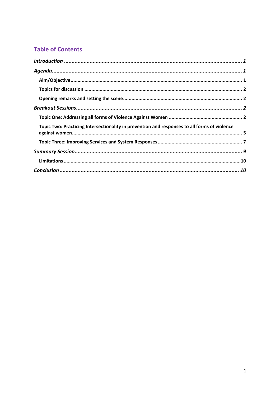# **Table of Contents**

| Topic Two: Practicing Intersectionality in prevention and responses to all forms of violence |  |
|----------------------------------------------------------------------------------------------|--|
|                                                                                              |  |
|                                                                                              |  |
|                                                                                              |  |
|                                                                                              |  |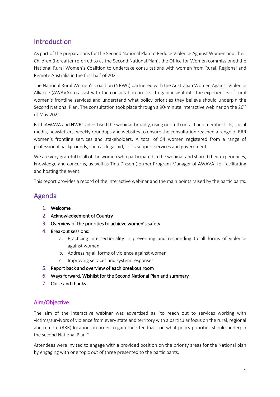# Introduction

As part of the preparations for the Second National Plan to Reduce Violence Against Women and Their Children (hereafter referred to as the Second National Plan), the Office for Women commissioned the National Rural Women's Coalition to undertake consultations with women from Rural, Regional and Remote Australia in the first half of 2021.

The National Rural Women's Coalition (NRWC) partnered with the Australian Women Against Violence Alliance (AWAVA) to assist with the consultation process to gain insight into the experiences of rural women's frontline services and understand what policy priorities they believe should underpin the Second National Plan. The consultation took place through a 90-minute interactive webinar on the 26<sup>th</sup> of May 2021.

Both AWAVA and NWRC advertised the webinar broadly, using our full contact and member lists, social media, newsletters, weekly roundups and websites to ensure the consultation reached a range of RRR women's frontline services and stakeholders. A total of 54 women registered from a range of professional backgrounds, such as legal aid, crisis support services and government.

We are very grateful to all of the women who participated in the webinar and shared their experiences, knowledge and concerns, as well as Tina Dixson (former Program Manager of AWAVA) for facilitating and hosting the event.

This report provides a record of the interactive webinar and the main points raised by the participants.

# Agenda

- 1. Welcome
- 2. Acknowledgement of Country
- 3. Overview of the priorities to achieve women's safety
- 4. Breakout sessions:
	- a. Practicing intersectionality in preventing and responding to all forms of violence against women
	- b. Addressing all forms of violence against women
	- c. Improving services and system responses
- 5. Report back and overview of each breakout room
- 6. Ways forward, Wishlist for the Second National Plan and summary
- 7. Close and thanks

# Aim/Objective

The aim of the interactive webinar was advertised as "to reach out to services working with victims/survivors of violence from every state and territory with a particular focus on the rural, regional and remote (RRR) locations in order to gain their feedback on what policy priorities should underpin the second National Plan."

Attendees were invited to engage with a provided position on the priority areas for the National plan by engaging with one topic out of three presented to the participants.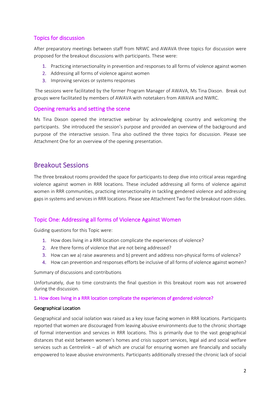# Topics for discussion

After preparatory meetings between staff from NRWC and AWAVA three topics for discussion were proposed for the breakout discussions with participants. These were:

- 1. Practicing intersectionality in prevention and responses to all forms of violence against women
- 2. Addressing all forms of violence against women
- 3. Improving services or systems responses

The sessions were facilitated by the former Program Manager of AWAVA, Ms Tina Dixson. Break out groups were facilitated by members of AWAVA with notetakers from AWAVA and NWRC.

### Opening remarks and setting the scene

Ms Tina Dixson opened the interactive webinar by acknowledging country and welcoming the participants. She introduced the session's purpose and provided an overview of the background and purpose of the interactive session. Tina also outlined the three topics for discussion. Please see Attachment One for an overview of the opening presentation.

# Breakout Sessions

The three breakout rooms provided the space for participants to deep dive into critical areas regarding violence against women in RRR locations. These included addressing all forms of violence against women in RRR communities, practicing intersectionality in tackling gendered violence and addressing gaps in systems and services in RRR locations. Please see Attachment Two for the breakout room slides.

### Topic One: Addressing all forms of Violence Against Women

Guiding questions for this Topic were:

- 1. How does living in a RRR location complicate the experiences of violence?
- 2. Are there forms of violence that are not being addressed?
- 3. How can we a) raise awareness and b) prevent and address non-physical forms of violence?
- 4. How can prevention and responses efforts be inclusive of all forms of violence against women?

Summary of discussions and contributions

Unfortunately, due to time constraints the final question in this breakout room was not answered during the discussion.

#### 1. How does living in a RRR location complicate the experiences of gendered violence?

#### Geographical Location

Geographical and social isolation was raised as a key issue facing women in RRR locations. Participants reported that women are discouraged from leaving abusive environments due to the chronic shortage of formal intervention and services in RRR locations. This is primarily due to the vast geographical distances that exist between women's homes and crisis support services, legal aid and social welfare services such as Centrelink – all of which are crucial for ensuring women are financially and socially empowered to leave abusive environments. Participants additionally stressed the chronic lack of social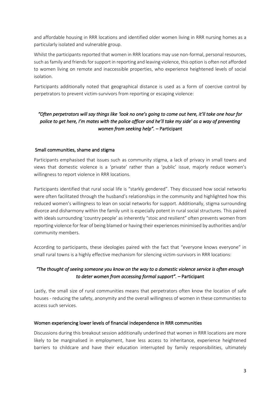and affordable housing in RRR locations and identified older women living in RRR nursing homes as a particularly isolated and vulnerable group.

Whilst the participants reported that women in RRR locations may use non-formal, personal resources, such as family and friends for support in reporting and leaving violence, this option is often not afforded to women living on remote and inaccessible properties, who experience heightened levels of social isolation.

Participants additionally noted that geographical distance is used as a form of coercive control by perpetrators to prevent victim-survivors from reporting or escaping violence:

# *"Often perpetrators will say things like 'look no one's going to come out here, it'll take one hour for police to get here, I'm mates with the police officer and he'll take my side' as a way of preventing women from seeking help". –* Participant

#### Small communities, shame and stigma

Participants emphasised that issues such as community stigma, a lack of privacy in small towns and views that domestic violence is a 'private' rather than a 'public' issue, majorly reduce women's willingness to report violence in RRR locations.

Participants identified that rural social life is "starkly gendered". They discussed how social networks were often facilitated through the husband's relationships in the community and highlighted how this reduced women's willingness to lean on social networks for support. Additionally, stigma surrounding divorce and disharmony within the family unit is especially potent in rural social structures. This paired with ideals surrounding 'country people' as inherently "stoic and resilient" often prevents women from reporting violence for fear of being blamed or having their experiences minimised by authorities and/or community members.

According to participants, these ideologies paired with the fact that "everyone knows everyone" in small rural towns is a highly effective mechanism for silencing victim-survivors in RRR locations:

### *"The thought of seeing someone you know on the way to a domestic violence service is often enough to deter women from accessing formal support". –* Participant

Lastly, the small size of rural communities means that perpetrators often know the location of safe houses - reducing the safety, anonymity and the overall willingness of women in these communities to access such services.

#### Women experiencing lower levels of financial independence in RRR communities

Discussions during this breakout session additionally underlined that women in RRR locations are more likely to be marginalised in employment, have less access to inheritance, experience heightened barriers to childcare and have their education interrupted by family responsibilities, ultimately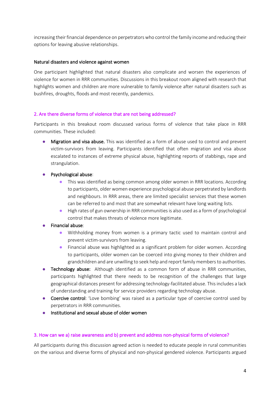increasing their financial dependence on perpetrators who control the family income and reducing their options for leaving abusive relationships.

#### Natural disasters and violence against women

One participant highlighted that natural disasters also complicate and worsen the experiences of violence for women in RRR communities. Discussions in this breakout room aligned with research that highlights women and children are more vulnerable to family violence after natural disasters such as bushfires, droughts, floods and most recently, pandemics.

#### 2. Are there diverse forms of violence that are not being addressed?

Participants in this breakout room discussed various forms of violence that take place in RRR communities. These included:

- Migration and visa abuse. This was identified as a form of abuse used to control and prevent victim-survivors from leaving. Participants identified that often migration and visa abuse escalated to instances of extreme physical abuse, highlighting reports of stabbings, rape and strangulation.
- Psychological abuse:
	- This was identified as being common among older women in RRR locations. According to participants, older women experience psychological abuse perpetrated by landlords and neighbours. In RRR areas, there are limited specialist services that these women can be referred to and most that are somewhat relevant have long waiting lists.
	- High rates of gun ownership in RRR communities is also used as a form of psychological control that makes threats of violence more legitimate.

#### Financial abuse:

- Withholding money from women is a primary tactic used to maintain control and prevent victim-survivors from leaving.
- Financial abuse was highlighted as a significant problem for older women. According to participants, older women can be coerced into giving money to their children and grandchildren and are unwilling to seek help and report family members to authorities.
- Technology abuse: Although identified as a common form of abuse in RRR communities, participants highlighted that there needs to be recognition of the challenges that large geographical distances present for addressing technology-facilitated abuse. This includes a lack of understanding and training for service providers regarding technology abuse.
- Coercive control: 'Love bombing' was raised as a particular type of coercive control used by perpetrators in RRR communities.
- Institutional and sexual abuse of older women

#### 3. How can we a) raise awareness and b) prevent and address non-physical forms of violence?

All participants during this discussion agreed action is needed to educate people in rural communities on the various and diverse forms of physical and non-physical gendered violence. Participants argued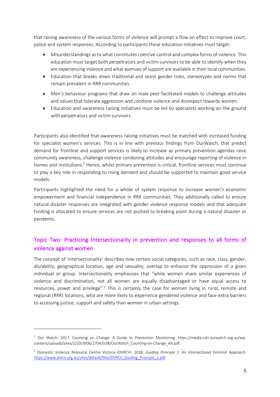that raising awareness of the various forms of violence will prompt a flow on effect to improve court, police and system responses. According to participants these education initiatives must target:

- Misunderstandings as to what constitutes coercive control and complex forms of violence. This education must target both perpetrators and victim-survivors to be able to identify when they are experiencing violence and what avenues of support are available in their local communities.
- Education that breaks down traditional and sexist gender roles, stereotypes and norms that remain prevalent in RRR communities.
- Men's behaviour programs that draw on male peer facilitated models to challenge attitudes and values that tolerate aggression and condone violence and disrespect towards women.
- Education and awareness raising initiatives must be led by specialists working on the ground with perpetrators and victim-survivors.

Participants also identified that awareness raising initiatives must be matched with increased funding for specialist women's services. This is in line with previous findings from OurWatch, that predict demand for frontline and support services is likely to increase as primary prevention agendas raise community awareness, challenge violence condoning attitudes and encourage reporting of violence in homes and institutions.<sup>1</sup> Hence, whilst primary prevention is critical, frontline services must continue to play a key role in responding to rising demand and should be supported to maintain good service models.

Participants highlighted the need for a whole of system response to increase women's economic empowerment and financial independence in RRR communities. They additionally called to ensure natural disaster responses are integrated with gender violence response models and that adequate funding is allocated to ensure services are not pushed to breaking point during a natural disaster or pandemic.

# Topic Two: Practicing Intersectionality in prevention and responses to all forms of violence against women

The concept of 'intersectionality' describes how certain social categories, such as race, class, gender, dis/ability, geographical location, age and sexuality, overlap to enhance the oppression of a given individual or group. Intersectionality emphasises that "while women share similar experiences of violence and discrimination, not all women are equally disadvantaged or have equal access to resources, power and privilege".<sup>2</sup> This is certainly the case for women living in rural, remote and regional (RRR) locations, who are more likely to experience gendered violence and face extra barriers to accessing justice, support and safety than women in urban settings.

 $1$  Our Watch. 2017. Counting on Change: A Guide to Prevention Monitoring. https://media-cdn.ourwatch.org.au/wpcontent/uploads/sites/2/2019/06/27043538/OurWatch\_Counting-on-Change\_AA.pdf.

<sup>2</sup> Domestic Violence Resource Centre Victoria (DVRCV). 2018. *Guiding Principle 1: An Intersectional Feminist Approach*. https://www.dvrcv.org.au/sites/default/files/DVRCV\_Guiding\_Principle\_1.pdf.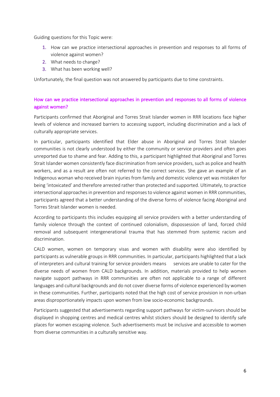Guiding questions for this Topic were:

- 1. How can we practice intersectional approaches in prevention and responses to all forms of violence against women?
- 2. What needs to change?
- 3. What has been working well?

Unfortunately, the final question was not answered by participants due to time constraints.

### How can we practice intersectional approaches in prevention and responses to all forms of violence against women?

Participants confirmed that Aboriginal and Torres Strait Islander women in RRR locations face higher levels of violence and increased barriers to accessing support, including discrimination and a lack of culturally appropriate services.

In particular, participants identified that Elder abuse in Aboriginal and Torres Strait Islander communities is not clearly understood by either the community or service providers and often goes unreported due to shame and fear. Adding to this, a participant highlighted that Aboriginal and Torres Strait Islander women consistently face discrimination from service providers, such as police and health workers, and as a result are often not referred to the correct services. She gave an example of an Indigenous woman who received brain injuries from family and domestic violence yet was mistaken for being 'intoxicated' and therefore arrested rather than protected and supported. Ultimately, to practice intersectional approaches in prevention and responses to violence against women in RRR communities, participants agreed that a better understanding of the diverse forms of violence facing Aboriginal and Torres Strait Islander women is needed.

According to participants this includes equipping all service providers with a better understanding of family violence through the context of continued colonialism, dispossession of land, forced child removal and subsequent intergenerational trauma that has stemmed from systemic racism and discrimination.

CALD women, women on temporary visas and women with disability were also identified by participants as vulnerable groups in RRR communities. In particular, participants highlighted that a lack of interpreters and cultural training for service providers means services are unable to cater for the diverse needs of women from CALD backgrounds. In addition, materials provided to help women navigate support pathways in RRR communities are often not applicable to a range of different languages and cultural backgrounds and do not cover diverse forms of violence experienced by women in these communities. Further, participants noted that the high cost of service provision in non-urban areas disproportionately impacts upon women from low socio-economic backgrounds.

Participants suggested that advertisements regarding support pathways for victim-survivors should be displayed in shopping centres and medical centres whilst stickers should be designed to identify safe places for women escaping violence. Such advertisements must be inclusive and accessible to women from diverse communities in a culturally sensitive way.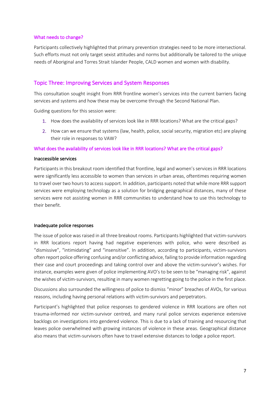#### What needs to change?

Participants collectively highlighted that primary prevention strategies need to be more intersectional. Such efforts must not only target sexist attitudes and norms but additionally be tailored to the unique needs of Aboriginal and Torres Strait Islander People, CALD women and women with disability.

### Topic Three: Improving Services and System Responses

This consultation sought insight from RRR frontline women's services into the current barriers facing services and systems and how these may be overcome through the Second National Plan.

Guiding questions for this session were:

- 1. How does the availability of services look like in RRR locations? What are the critical gaps?
- 2. How can we ensure that systems (law, health, police, social security, migration etc) are playing their role in responses to VAW?

#### What does the availability of services look like in RRR locations? What are the critical gaps?

#### Inaccessible services

Participants in this breakout room identified that frontline, legal and women's services in RRR locations were significantly less accessible to women than services in urban areas, oftentimes requiring women to travel over two hours to access support. In addition, participants noted that while more RRR support services were employing technology as a solution for bridging geographical distances, many of these services were not assisting women in RRR communities to understand how to use this technology to their benefit.

#### Inadequate police responses

The issue of police was raised in all three breakout rooms. Participants highlighted that victim-survivors in RRR locations report having had negative experiences with police, who were described as "dismissive", "intimidating" and "insensitive". In addition, according to participants, victim-survivors often report police offering confusing and/or conflicting advice, failing to provide information regarding their case and court proceedings and taking control over and above the victim-survivor's wishes. For instance, examples were given of police implementing AVO's to be seen to be "managing risk", against the wishes of victim-survivors, resulting in many women regretting going to the police in the first place.

Discussions also surrounded the willingness of police to dismiss "minor" breaches of AVOs, for various reasons, including having personal relations with victim-survivors and perpetrators.

Participant's highlighted that police responses to gendered violence in RRR locations are often not trauma-informed nor victim-survivor centred, and many rural police services experience extensive backlogs on investigations into gendered violence. This is due to a lack of training and resourcing that leaves police overwhelmed with growing instances of violence in these areas. Geographical distance also means that victim-survivors often have to travel extensive distances to lodge a police report.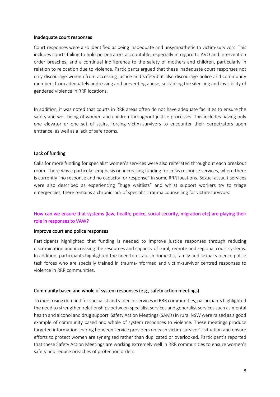#### Inadequate court responses

Court responses were also identified as being inadequate and unsympathetic to victim-survivors. This includes courts failing to hold perpetrators accountable, especially in regard to AVO and intervention order breaches, and a continual indifference to the safety of mothers and children, particularly in relation to relocation due to violence. Participants argued that these inadequate court responses not only discourage women from accessing justice and safety but also discourage police and community members from adequately addressing and preventing abuse, sustaining the silencing and invisibility of gendered violence in RRR locations.

In addition, it was noted that courts in RRR areas often do not have adequate facilities to ensure the safety and well-being of women and children throughout justice processes. This includes having only one elevator or one set of stairs, forcing victim-survivors to encounter their perpetrators upon entrance, as well as a lack of safe rooms.

#### Lack of funding

Calls for more funding for specialist women's services were also reiterated throughout each breakout room. There was a particular emphasis on increasing funding for crisis response services, where there is currently "no response and no capacity for response" in some RRR locations. Sexual assault services were also described as experiencing "huge waitlists" and whilst support workers try to triage emergencies, there remains a chronic lack of specialist trauma counselling for victim-survivors.

### How can we ensure that systems (law, health, police, social security, migration etc) are playing their role in responses to VAW?

#### Improve court and police responses

Participants highlighted that funding is needed to improve justice responses through reducing discrimination and increasing the resources and capacity of rural, remote and regional court systems. In addition, participants highlighted the need to establish domestic, family and sexual violence police task forces who are specially trained in trauma-informed and victim-survivor centred responses to violence in RRR communities.

#### Community based and whole of system responses (e.g., safety action meetings)

To meet rising demand for specialist and violence services in RRR communities, participants highlighted the need to strengthen relationships between specialist services and generalist services such as mental health and alcohol and drug support. Safety Action Meetings (SAMs) in rural NSW were raised as a good example of community based and whole of system responses to violence. These meetings produce targeted information sharing between service providers on each victim-survivor's situation and ensure efforts to protect women are synergised rather than duplicated or overlooked. Participant's reported that these Safety Action Meetings are working extremely well in RRR communities to ensure women's safety and reduce breaches of protection orders.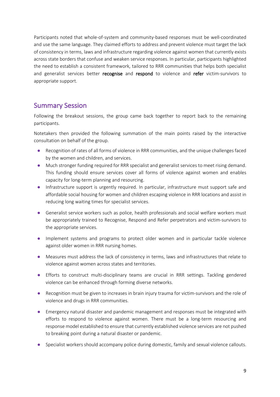Participants noted that whole-of-system and community-based responses must be well-coordinated and use the same language. They claimed efforts to address and prevent violence must target the lack of consistency in terms, laws and infrastructure regarding violence against women that currently exists across state borders that confuse and weaken service responses. In particular, participants highlighted the need to establish a consistent framework, tailored to RRR communities that helps both specialist and generalist services better recognise and respond to violence and refer victim-survivors to appropriate support.

# Summary Session

Following the breakout sessions, the group came back together to report back to the remaining participants.

Notetakers then provided the following summation of the main points raised by the interactive consultation on behalf of the group.

- Recognition of rates of all forms of violence in RRR communities, and the unique challenges faced by the women and children, and services.
- Much stronger funding required for RRR specialist and generalist services to meet rising demand. This funding should ensure services cover all forms of violence against women and enables capacity for long-term planning and resourcing.
- Infrastructure support is urgently required. In particular, infrastructure must support safe and affordable social housing for women and children escaping violence in RRR locations and assist in reducing long waiting times for specialist services.
- Generalist service workers such as police, health professionals and social welfare workers must be appropriately trained to Recognise, Respond and Refer perpetrators and victim-survivors to the appropriate services.
- Implement systems and programs to protect older women and in particular tackle violence against older women in RRR nursing homes.
- Measures must address the lack of consistency in terms, laws and infrastructures that relate to violence against women across states and territories.
- Efforts to construct multi-disciplinary teams are crucial in RRR settings. Tackling gendered violence can be enhanced through forming diverse networks.
- Recognition must be given to increases in brain injury trauma for victim-survivors and the role of violence and drugs in RRR communities.
- Emergency natural disaster and pandemic management and responses must be integrated with efforts to respond to violence against women. There must be a long-term resourcing and response model established to ensure that currently established violence services are not pushed to breaking point during a natural disaster or pandemic.
- Specialist workers should accompany police during domestic, family and sexual violence callouts.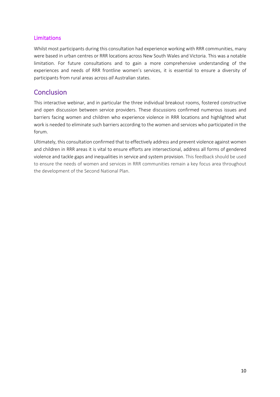# Limitations

Whilst most participants during this consultation had experience working with RRR communities, many were based in urban centres or RRR locations across New South Wales and Victoria. This was a notable limitation. For future consultations and to gain a more comprehensive understanding of the experiences and needs of RRR frontline women's services, it is essential to ensure a diversity of participants from rural areas across *all* Australian states.

# **Conclusion**

This interactive webinar, and in particular the three individual breakout rooms, fostered constructive and open discussion between service providers. These discussions confirmed numerous issues and barriers facing women and children who experience violence in RRR locations and highlighted what work is needed to eliminate such barriers according to the women and services who participated in the forum.

Ultimately, this consultation confirmed that to effectively address and prevent violence against women and children in RRR areas it is vital to ensure efforts are intersectional, address all forms of gendered violence and tackle gaps and inequalities in service and system provision. This feedback should be used to ensure the needs of women and services in RRR communities remain a key focus area throughout the development of the Second National Plan.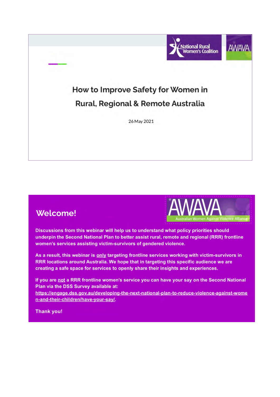

# **Welcome!**



Discussions from this webinar will help us to understand what policy priorities should underpin the Second National Plan to better assist rural, remote and regional (RRR) frontline women's services assisting victim-survivors of gendered violence.

As a result, this webinar is only targeting frontline services working with victim-survivors in RRR locations around Australia. We hope that in targeting this specific audience we are creating a safe space for services to openly share their insights and experiences.

If you are not a RRR frontline women's service you can have your say on the Second National Plan via the DSS Survey available at:

https://engage.dss.gov.au/developing-the-next-national-plan-to-reduce-violence-against-wome n-and-their-children/have-your-say/.

**Thank you!**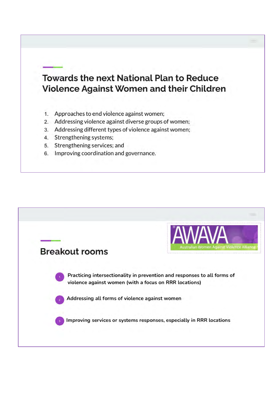# **Towards the next National Plan to Reduce** Violence Against Women and their Children

- 1. Approaches to end violence against women;
- 2. Addressing violence against diverse groups of women;
- 3. Addressing different types of violence against women;
- 4. Strengthening systems;
- 5. Strengthening services; and
- 6. Improving coordination and governance.

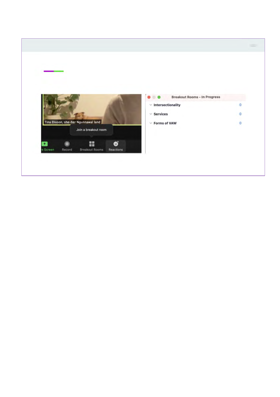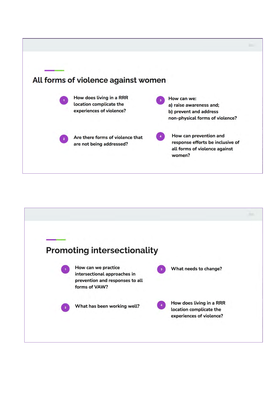